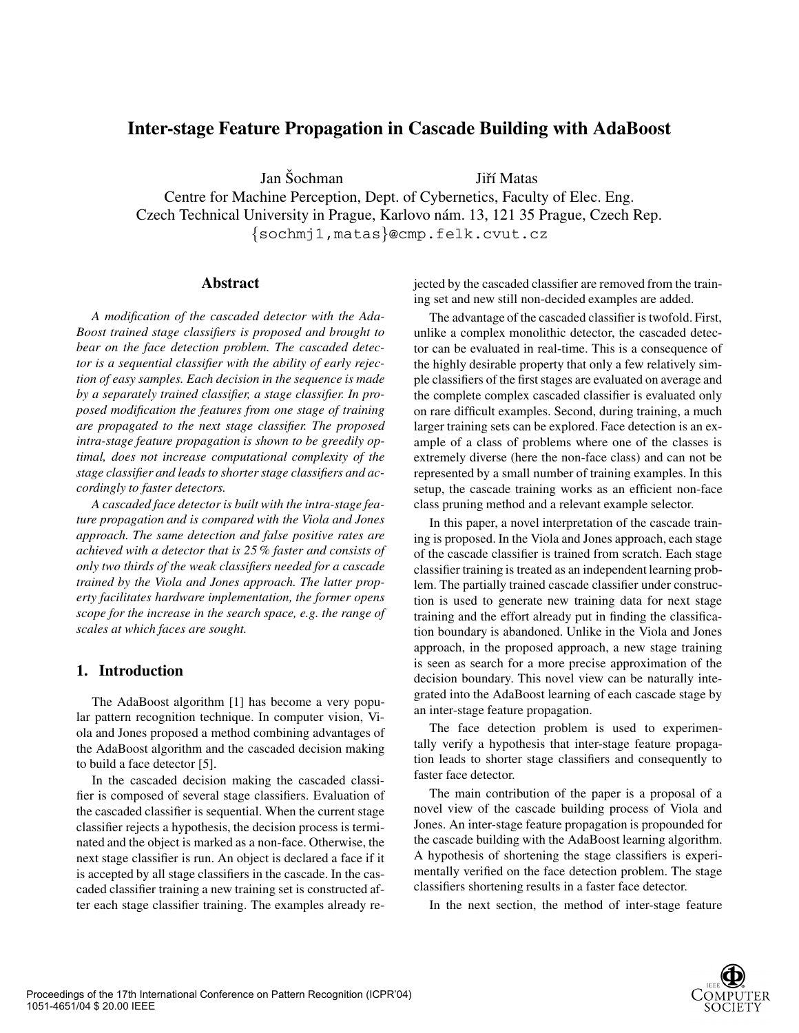# **Inter-stage Feature Propagation in Cascade Building with AdaBoost**

Jan Šochman Jiří Matas Centre for Machine Perception, Dept. of Cybernetics, Faculty of Elec. Eng. Czech Technical University in Prague, Karlovo nám. 13, 121 35 Prague, Czech Rep. {sochmj1,matas}@cmp.felk.cvut.cz

#### **Abstract**

*A modification of the cascaded detector with the Ada-Boost trained stage classifiers is proposed and brought to bear on the face detection problem. The cascaded detector is a sequential classifier with the ability of early rejection of easy samples. Each decision in the sequence is made by a separately trained classifier, a stage classifier. In proposed modification the features from one stage of training are propagated to the next stage classifier. The proposed intra-stage feature propagation is shown to be greedily optimal, does not increase computational complexity of the stage classifier and leads to shorter stage classifiers and accordingly to faster detectors.*

*A cascaded face detector is built with the intra-stage feature propagation and is compared with the Viola and Jones approach. The same detection and false positive rates are achieved with a detector that is 25 % faster and consists of only two thirds of the weak classifiers needed for a cascade trained by the Viola and Jones approach. The latter property facilitates hardware implementation, the former opens scope for the increase in the search space, e.g. the range of scales at which faces are sought.*

## **1. Introduction**

The AdaBoost algorithm [1] has become a very popular pattern recognition technique. In computer vision, Viola and Jones proposed a method combining advantages of the AdaBoost algorithm and the cascaded decision making to build a face detector [5].

In the cascaded decision making the cascaded classifier is composed of several stage classifiers. Evaluation of the cascaded classifier is sequential. When the current stage classifier rejects a hypothesis, the decision process is terminated and the object is marked as a non-face. Otherwise, the next stage classifier is run. An object is declared a face if it is accepted by all stage classifiers in the cascade. In the cascaded classifier training a new training set is constructed after each stage classifier training. The examples already rejected by the cascaded classifier are removed from the training set and new still non-decided examples are added.

The advantage of the cascaded classifier is twofold. First, unlike a complex monolithic detector, the cascaded detector can be evaluated in real-time. This is a consequence of the highly desirable property that only a few relatively simple classifiers of the first stages are evaluated on average and the complete complex cascaded classifier is evaluated only on rare difficult examples. Second, during training, a much larger training sets can be explored. Face detection is an example of a class of problems where one of the classes is extremely diverse (here the non-face class) and can not be represented by a small number of training examples. In this setup, the cascade training works as an efficient non-face class pruning method and a relevant example selector.

In this paper, a novel interpretation of the cascade training is proposed. In the Viola and Jones approach, each stage of the cascade classifier is trained from scratch. Each stage classifier training is treated as an independent learning problem. The partially trained cascade classifier under construction is used to generate new training data for next stage training and the effort already put in finding the classification boundary is abandoned. Unlike in the Viola and Jones approach, in the proposed approach, a new stage training is seen as search for a more precise approximation of the decision boundary. This novel view can be naturally integrated into the AdaBoost learning of each cascade stage by an inter-stage feature propagation.

The face detection problem is used to experimentally verify a hypothesis that inter-stage feature propagation leads to shorter stage classifiers and consequently to faster face detector.

The main contribution of the paper is a proposal of a novel view of the cascade building process of Viola and Jones. An inter-stage feature propagation is propounded for the cascade building with the AdaBoost learning algorithm. A hypothesis of shortening the stage classifiers is experimentally verified on the face detection problem. The stage classifiers shortening results in a faster face detector.

In the next section, the method of inter-stage feature

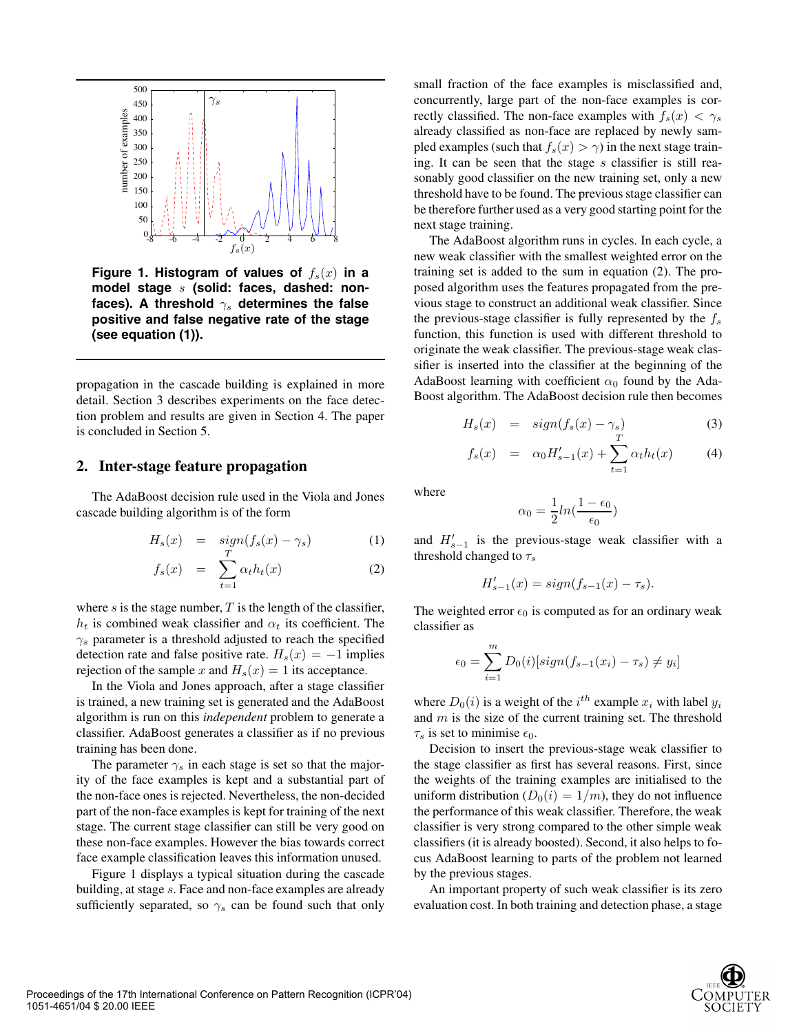

Figure 1. Histogram of values of  $f_s(x)$  in a **model stage** s **(solid: faces, dashed: nonfaces). A threshold**  $\gamma_s$  determines the false **positive and false negative rate of the stage (see equation (1)).**

propagation in the cascade building is explained in more detail. Section 3 describes experiments on the face detection problem and results are given in Section 4. The paper is concluded in Section 5.

#### **2. Inter-stage feature propagation**

The AdaBoost decision rule used in the Viola and Jones cascade building algorithm is of the form

$$
H_s(x) = \underset{T}{sign}(f_s(x) - \gamma_s) \tag{1}
$$

$$
f_s(x) = \sum_{t=1}^T \alpha_t h_t(x) \tag{2}
$$

where s is the stage number,  $T$  is the length of the classifier,  $h_t$  is combined weak classifier and  $\alpha_t$  its coefficient. The  $\gamma_s$  parameter is a threshold adjusted to reach the specified detection rate and false positive rate.  $H_s(x) = -1$  implies rejection of the sample x and  $H_s(x)=1$  its acceptance.

In the Viola and Jones approach, after a stage classifier is trained, a new training set is generated and the AdaBoost algorithm is run on this *independent* problem to generate a classifier. AdaBoost generates a classifier as if no previous training has been done.

The parameter  $\gamma_s$  in each stage is set so that the majority of the face examples is kept and a substantial part of the non-face ones is rejected. Nevertheless, the non-decided part of the non-face examples is kept for training of the next stage. The current stage classifier can still be very good on these non-face examples. However the bias towards correct face example classification leaves this information unused.

Figure 1 displays a typical situation during the cascade building, at stage s. Face and non-face examples are already sufficiently separated, so  $\gamma_s$  can be found such that only

small fraction of the face examples is misclassified and, concurrently, large part of the non-face examples is correctly classified. The non-face examples with  $f_s(x) < \gamma_s$ already classified as non-face are replaced by newly sampled examples (such that  $f_s(x) > \gamma$ ) in the next stage training. It can be seen that the stage  $s$  classifier is still reasonably good classifier on the new training set, only a new threshold have to be found. The previous stage classifier can be therefore further used as a very good starting point for the next stage training.

The AdaBoost algorithm runs in cycles. In each cycle, a new weak classifier with the smallest weighted error on the training set is added to the sum in equation (2). The proposed algorithm uses the features propagated from the previous stage to construct an additional weak classifier. Since the previous-stage classifier is fully represented by the  $f_s$ function, this function is used with different threshold to originate the weak classifier. The previous-stage weak classifier is inserted into the classifier at the beginning of the AdaBoost learning with coefficient  $\alpha_0$  found by the Ada-Boost algorithm. The AdaBoost decision rule then becomes

$$
H_s(x) = sign(f_s(x) - \gamma_s)
$$
\n(3)

$$
f_s(x) = \alpha_0 H'_{s-1}(x) + \sum_{t=1}^T \alpha_t h_t(x) \tag{4}
$$

where

$$
\alpha_0 = \frac{1}{2} ln(\frac{1-\epsilon_0}{\epsilon_0})
$$

and  $H'_{s-1}$  is the previous-stage weak classifier with a threshold changed to  $\tau$ threshold changed to  $\tau_s$ 

$$
H'_{s-1}(x) = sign(f_{s-1}(x) - \tau_s).
$$

The weighted error  $\epsilon_0$  is computed as for an ordinary weak classifier as

$$
\epsilon_0 = \sum_{i=1}^{m} D_0(i) [sign(f_{s-1}(x_i) - \tau_s) \neq y_i]
$$

where  $D_0(i)$  is a weight of the  $i^{th}$  example  $x_i$  with label  $y_i$ <br>and m is the size of the current training set. The threshold and  $m$  is the size of the current training set. The threshold  $\tau_s$  is set to minimise  $\epsilon_0$ .

Decision to insert the previous-stage weak classifier to the stage classifier as first has several reasons. First, since the weights of the training examples are initialised to the uniform distribution  $(D_0(i)=1/m)$ , they do not influence the performance of this weak classifier. Therefore, the weak classifier is very strong compared to the other simple weak classifiers (it is already boosted). Second, it also helps to focus AdaBoost learning to parts of the problem not learned by the previous stages.

An important property of such weak classifier is its zero evaluation cost. In both training and detection phase, a stage

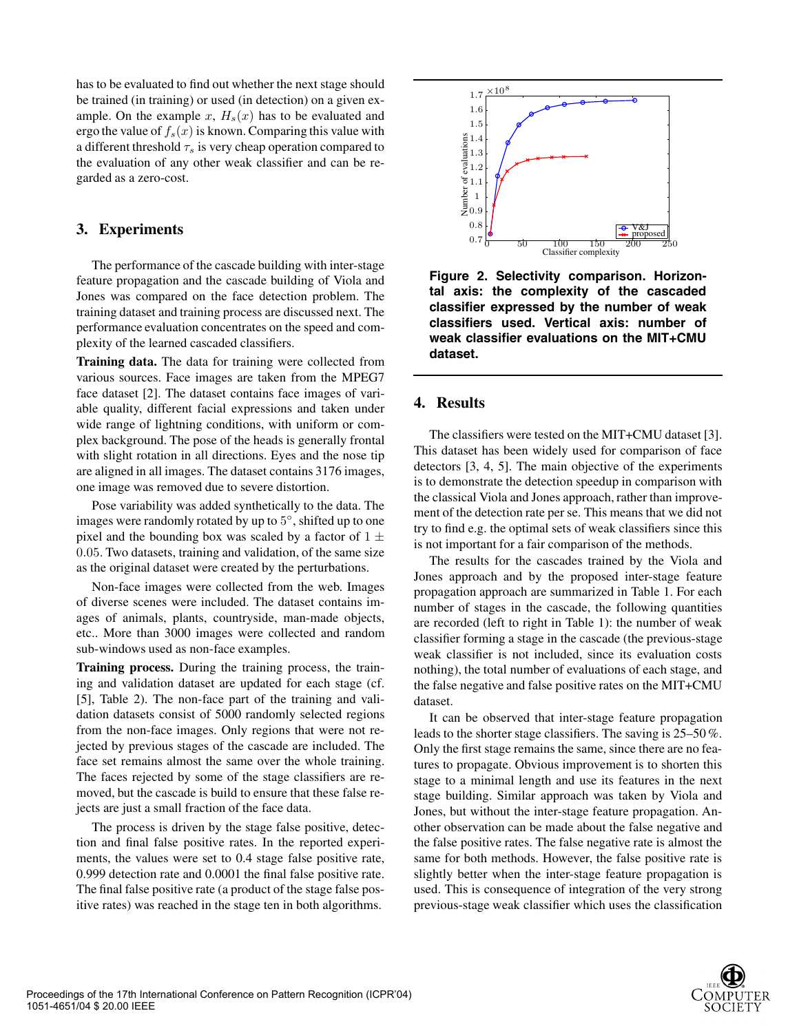has to be evaluated to find out whether the next stage should be trained (in training) or used (in detection) on a given example. On the example x,  $H_s(x)$  has to be evaluated and ergo the value of  $f_s(x)$  is known. Comparing this value with a different threshold  $\tau_s$  is very cheap operation compared to the evaluation of any other weak classifier and can be regarded as a zero-cost.

## **3. Experiments**

The performance of the cascade building with inter-stage feature propagation and the cascade building of Viola and Jones was compared on the face detection problem. The training dataset and training process are discussed next. The performance evaluation concentrates on the speed and complexity of the learned cascaded classifiers.

**Training data.** The data for training were collected from various sources. Face images are taken from the MPEG7 face dataset [2]. The dataset contains face images of variable quality, different facial expressions and taken under wide range of lightning conditions, with uniform or complex background. The pose of the heads is generally frontal with slight rotation in all directions. Eyes and the nose tip are aligned in all images. The dataset contains 3176 images, one image was removed due to severe distortion.

Pose variability was added synthetically to the data. The images were randomly rotated by up to 5◦, shifted up to one pixel and the bounding box was scaled by a factor of  $1 \pm$ <sup>0</sup>.05. Two datasets, training and validation, of the same size as the original dataset were created by the perturbations.

Non-face images were collected from the web. Images of diverse scenes were included. The dataset contains images of animals, plants, countryside, man-made objects, etc.. More than 3000 images were collected and random sub-windows used as non-face examples.

**Training process.** During the training process, the training and validation dataset are updated for each stage (cf. [5], Table 2). The non-face part of the training and validation datasets consist of 5000 randomly selected regions from the non-face images. Only regions that were not rejected by previous stages of the cascade are included. The face set remains almost the same over the whole training. The faces rejected by some of the stage classifiers are removed, but the cascade is build to ensure that these false rejects are just a small fraction of the face data.

The process is driven by the stage false positive, detection and final false positive rates. In the reported experiments, the values were set to 0.4 stage false positive rate, 0.999 detection rate and 0.0001 the final false positive rate. The final false positive rate (a product of the stage false positive rates) was reached in the stage ten in both algorithms.



**Figure 2. Selectivity comparison. Horizontal axis: the complexity of the cascaded classifier expressed by the number of weak classifiers used. Vertical axis: number of weak classifier evaluations on the MIT+CMU dataset.**

#### **4. Results**

The classifiers were tested on the MIT+CMU dataset [3]. This dataset has been widely used for comparison of face detectors [3, 4, 5]. The main objective of the experiments is to demonstrate the detection speedup in comparison with the classical Viola and Jones approach, rather than improvement of the detection rate per se. This means that we did not try to find e.g. the optimal sets of weak classifiers since this is not important for a fair comparison of the methods.

The results for the cascades trained by the Viola and Jones approach and by the proposed inter-stage feature propagation approach are summarized in Table 1. For each number of stages in the cascade, the following quantities are recorded (left to right in Table 1): the number of weak classifier forming a stage in the cascade (the previous-stage weak classifier is not included, since its evaluation costs nothing), the total number of evaluations of each stage, and the false negative and false positive rates on the MIT+CMU dataset.

It can be observed that inter-stage feature propagation leads to the shorter stage classifiers. The saving is 25–50 %. Only the first stage remains the same, since there are no features to propagate. Obvious improvement is to shorten this stage to a minimal length and use its features in the next stage building. Similar approach was taken by Viola and Jones, but without the inter-stage feature propagation. Another observation can be made about the false negative and the false positive rates. The false negative rate is almost the same for both methods. However, the false positive rate is slightly better when the inter-stage feature propagation is used. This is consequence of integration of the very strong previous-stage weak classifier which uses the classification